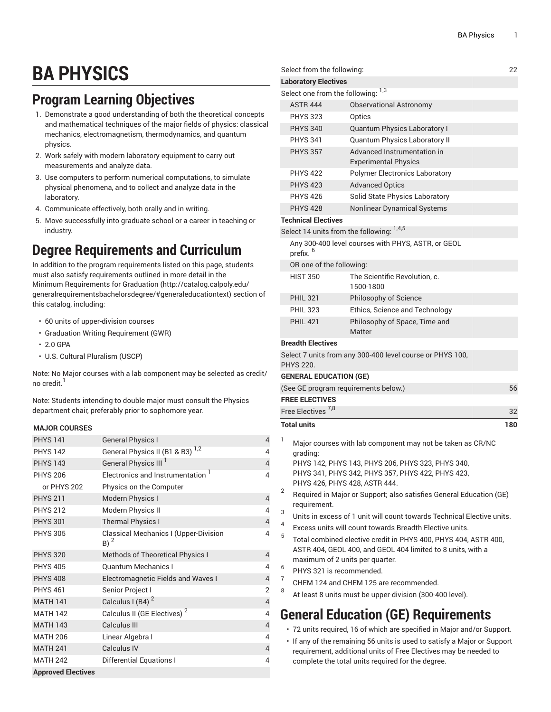## **BA PHYSICS**

## **Program Learning Objectives**

- 1. Demonstrate a good understanding of both the theoretical concepts and mathematical techniques of the major fields of physics: classical mechanics, electromagnetism, thermodynamics, and quantum physics.
- 2. Work safely with modern laboratory equipment to carry out measurements and analyze data.
- 3. Use computers to perform numerical computations, to simulate physical phenomena, and to collect and analyze data in the laboratory.
- 4. Communicate effectively, both orally and in writing.
- 5. Move successfully into graduate school or a career in teaching or industry.

## **Degree Requirements and Curriculum**

In addition to the program requirements listed on this page, students must also satisfy requirements outlined in more detail in the Minimum [Requirements](http://catalog.calpoly.edu/generalrequirementsbachelorsdegree/#generaleducationtext) for Graduation ([http://catalog.calpoly.edu/](http://catalog.calpoly.edu/generalrequirementsbachelorsdegree/#generaleducationtext) [generalrequirementsbachelorsdegree/#generaleducationtext\)](http://catalog.calpoly.edu/generalrequirementsbachelorsdegree/#generaleducationtext) section of this catalog, including:

- 60 units of upper-division courses
- Graduation Writing Requirement (GWR)
- 2.0 GPA
- U.S. Cultural Pluralism (USCP)

Note: No Major courses with a lab component may be selected as credit/ no credit.<sup>1</sup>

Note: Students intending to double major must consult the Physics department chair, preferably prior to sophomore year.

## **MAJOR COURSES**

| <b>PHYS 141</b>           | <b>General Physics I</b>                        | 4              |
|---------------------------|-------------------------------------------------|----------------|
| <b>PHYS 142</b>           | General Physics II (B1 & B3) <sup>1,2</sup>     | 4              |
| <b>PHYS 143</b>           | General Physics III <sup>I</sup>                | $\overline{4}$ |
| <b>PHYS 206</b>           | Electronics and Instrumentation 1               | 4              |
| or PHYS 202               | Physics on the Computer                         |                |
| <b>PHYS 211</b>           | Modern Physics I                                | $\overline{4}$ |
| <b>PHYS 212</b>           | Modern Physics II                               | 4              |
| <b>PHYS 301</b>           | <b>Thermal Physics I</b>                        | $\sqrt{4}$     |
| <b>PHYS 305</b>           | Classical Mechanics I (Upper-Division<br>$B)^2$ | 4              |
| <b>PHYS 320</b>           | Methods of Theoretical Physics I                | $\overline{4}$ |
| <b>PHYS 405</b>           | <b>Quantum Mechanics I</b>                      | 4              |
| <b>PHYS 408</b>           | <b>Electromagnetic Fields and Waves I</b>       | $\overline{4}$ |
| <b>PHYS 461</b>           | Senior Project I                                | $\overline{2}$ |
| <b>MATH 141</b>           | Calculus I (B4) <sup>2</sup>                    | $\overline{4}$ |
| <b>MATH 142</b>           | Calculus II (GE Electives) <sup>2</sup>         | 4              |
| <b>MATH 143</b>           | Calculus III                                    | $\overline{4}$ |
| <b>MATH 206</b>           | Linear Algebra I                                | 4              |
| <b>MATH 241</b>           | <b>Calculus IV</b>                              | $\overline{4}$ |
| <b>MATH 242</b>           | <b>Differential Equations I</b>                 | 4              |
| <b>Approved Electives</b> |                                                 |                |

|   | Select from the following:                                                                                                                                        |                                                                                                                                                                      | 22  |  |
|---|-------------------------------------------------------------------------------------------------------------------------------------------------------------------|----------------------------------------------------------------------------------------------------------------------------------------------------------------------|-----|--|
|   | <b>Laboratory Electives</b>                                                                                                                                       |                                                                                                                                                                      |     |  |
|   | Select one from the following: 1,3                                                                                                                                |                                                                                                                                                                      |     |  |
|   | <b>ASTR 444</b>                                                                                                                                                   | <b>Observational Astronomy</b>                                                                                                                                       |     |  |
|   | <b>PHYS 323</b>                                                                                                                                                   | Optics                                                                                                                                                               |     |  |
|   | <b>PHYS 340</b>                                                                                                                                                   | Quantum Physics Laboratory I                                                                                                                                         |     |  |
|   | <b>PHYS 341</b>                                                                                                                                                   | Quantum Physics Laboratory II                                                                                                                                        |     |  |
|   | <b>PHYS 357</b>                                                                                                                                                   | Advanced Instrumentation in<br><b>Experimental Physics</b>                                                                                                           |     |  |
|   | <b>PHYS 422</b>                                                                                                                                                   | <b>Polymer Electronics Laboratory</b>                                                                                                                                |     |  |
|   | <b>PHYS 423</b>                                                                                                                                                   | <b>Advanced Optics</b>                                                                                                                                               |     |  |
|   | <b>PHYS 426</b>                                                                                                                                                   | Solid State Physics Laboratory                                                                                                                                       |     |  |
|   | <b>PHYS 428</b>                                                                                                                                                   | Nonlinear Dynamical Systems                                                                                                                                          |     |  |
|   | <b>Technical Electives</b>                                                                                                                                        |                                                                                                                                                                      |     |  |
|   |                                                                                                                                                                   | Select 14 units from the following: 1,4,5                                                                                                                            |     |  |
|   | prefix. <sup>6</sup>                                                                                                                                              | Any 300-400 level courses with PHYS, ASTR, or GEOL                                                                                                                   |     |  |
|   | OR one of the following:                                                                                                                                          |                                                                                                                                                                      |     |  |
|   | <b>HIST 350</b>                                                                                                                                                   | The Scientific Revolution, c.<br>1500-1800                                                                                                                           |     |  |
|   | <b>PHIL 321</b>                                                                                                                                                   | Philosophy of Science                                                                                                                                                |     |  |
|   | <b>PHIL 323</b>                                                                                                                                                   | Ethics, Science and Technology                                                                                                                                       |     |  |
|   | <b>PHII 421</b>                                                                                                                                                   | Philosophy of Space, Time and<br>Matter                                                                                                                              |     |  |
|   | <b>Breadth Electives</b>                                                                                                                                          |                                                                                                                                                                      |     |  |
|   | <b>PHYS 220.</b>                                                                                                                                                  | Select 7 units from any 300-400 level course or PHYS 100,                                                                                                            |     |  |
|   | <b>GENERAL EDUCATION (GE)</b>                                                                                                                                     |                                                                                                                                                                      |     |  |
|   |                                                                                                                                                                   | (See GE program requirements below.)                                                                                                                                 | 56  |  |
|   | <b>FREE ELECTIVES</b>                                                                                                                                             |                                                                                                                                                                      |     |  |
|   | Free Electives <sup>1,8</sup>                                                                                                                                     |                                                                                                                                                                      | 32  |  |
|   | <b>Total units</b>                                                                                                                                                |                                                                                                                                                                      | 180 |  |
| 1 | grading:                                                                                                                                                          | Major courses with lab component may not be taken as CR/NC<br>PHYS 142, PHYS 143, PHYS 206, PHYS 323, PHYS 340,<br>PHYS 341, PHYS 342, PHYS 357, PHYS 422, PHYS 423, |     |  |
| 2 | PHYS 426, PHYS 428, ASTR 444.<br>Required in Major or Support; also satisfies General Education (GE)<br>requirement.                                              |                                                                                                                                                                      |     |  |
| 3 |                                                                                                                                                                   | Units in excess of 1 unit will count towards Technical Elective units.                                                                                               |     |  |
| 4 |                                                                                                                                                                   | Excess units will count towards Breadth Elective units.                                                                                                              |     |  |
| 5 | Total combined elective credit in PHYS 400, PHYS 404, ASTR 400,<br>ASTR 404, GEOL 400, and GEOL 404 limited to 8 units, with a<br>maximum of 2 units per quarter. |                                                                                                                                                                      |     |  |
| 6 | PHYS 321 is recommended.                                                                                                                                          |                                                                                                                                                                      |     |  |
| 7 |                                                                                                                                                                   | CHEM 124 and CHEM 125 are recommended.                                                                                                                               |     |  |
| 8 |                                                                                                                                                                   | At least 8 units must be upper-division (300-400 level).                                                                                                             |     |  |
|   |                                                                                                                                                                   | <b>General Education (GE) Requirements</b>                                                                                                                           |     |  |
|   |                                                                                                                                                                   | · 72 units required, 16 of which are specified in Major and/or Support.                                                                                              |     |  |
|   |                                                                                                                                                                   | • If any of the remaining 56 units is used to satisfy a Major or Support<br>requirement, additional units of Free Electives may be needed to                         |     |  |

complete the total units required for the degree.